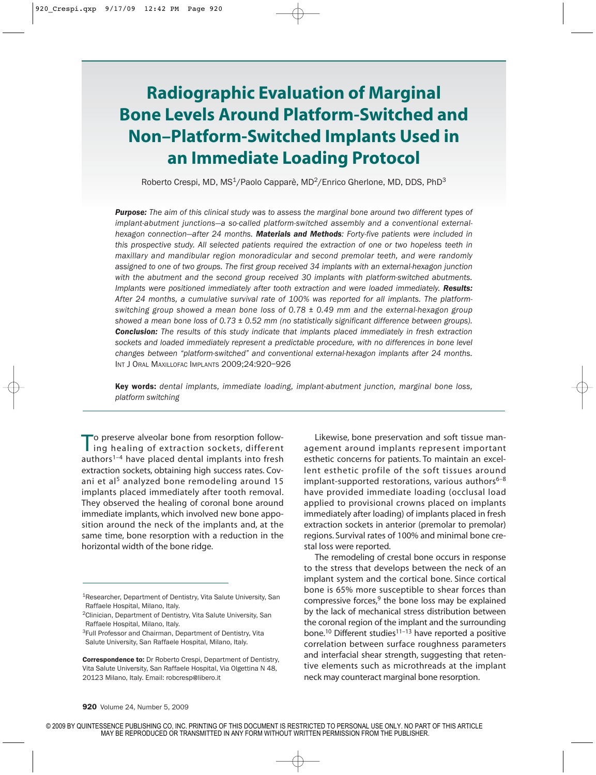# **Radiographic Evaluation of Marginal Bone Levels Around Platform-Switched and Non–Platform-Switched Implants Used in an Immediate Loading Protocol**

Roberto Crespi, MD, MS<sup>1</sup>/Paolo Capparè, MD<sup>2</sup>/Enrico Gherlone, MD, DDS, PhD<sup>3</sup>

*Purpose: The aim of this clinical study was to assess the marginal bone around two different types of implant-abutment junctions—a so-called platform-switched assembly and a conventional externalhexagon connection—after 24 months. Materials and Methods: Forty-five patients were included in this prospective study. All selected patients required the extraction of one or two hopeless teeth in maxillary and mandibular region monoradicular and second premolar teeth, and were randomly assigned to one of two groups. The first group received 34 implants with an external-hexagon junction with the abutment and the second group received 30 implants with platform-switched abutments. Implants were positioned immediately after tooth extraction and were loaded immediately. Results: After 24 months, a cumulative survival rate of 100% was reported for all implants. The platformswitching group showed a mean bone loss of 0.78 ± 0.49 mm and the external-hexagon group showed a mean bone loss of 0.73 ± 0.52 mm (no statistically significant difference between groups). Conclusion: The results of this study indicate that implants placed immediately in fresh extraction sockets and loaded immediately represent a predictable procedure, with no differences in bone level changes between "platform-switched" and conventional external-hexagon implants after 24 months.* INT J ORAL MAXILLOFAC IMPLANTS 2009;24:920–926

Key words: *dental implants, immediate loading, implant-abutment junction, marginal bone loss, platform switching*

To preserve alveolar bone from resorption following healing of extraction sockets, different authors<sup>1-4</sup> have placed dental implants into fresh extraction sockets, obtaining high success rates. Covani et al<sup>5</sup> analyzed bone remodeling around 15 implants placed immediately after tooth removal. They observed the healing of coronal bone around immediate implants, which involved new bone apposition around the neck of the implants and, at the same time, bone resorption with a reduction in the horizontal width of the bone ridge.

Likewise, bone preservation and soft tissue management around implants represent important esthetic concerns for patients. To maintain an excellent esthetic profile of the soft tissues around implant-supported restorations, various authors $6-8$ have provided immediate loading (occlusal load applied to provisional crowns placed on implants immediately after loading) of implants placed in fresh extraction sockets in anterior (premolar to premolar) regions. Survival rates of 100% and minimal bone crestal loss were reported.

The remodeling of crestal bone occurs in response to the stress that develops between the neck of an implant system and the cortical bone. Since cortical bone is 65% more susceptible to shear forces than compressive forces, $9$  the bone loss may be explained by the lack of mechanical stress distribution between the coronal region of the implant and the surrounding bone.<sup>10</sup> Different studies<sup>11-13</sup> have reported a positive correlation between surface roughness parameters and interfacial shear strength, suggesting that retentive elements such as microthreads at the implant neck may counteract marginal bone resorption.

<sup>1</sup>Researcher, Department of Dentistry, Vita Salute University, San Raffaele Hospital, Milano, Italy.

<sup>2</sup>Clinician, Department of Dentistry, Vita Salute University, San Raffaele Hospital, Milano, Italy.

<sup>&</sup>lt;sup>3</sup>Full Professor and Chairman, Department of Dentistry, Vita Salute University, San Raffaele Hospital, Milano, Italy.

Correspondence to: Dr Roberto Crespi, Department of Dentistry, Vita Salute University, San Raffaele Hospital, Via Olgettina N 48, 20123 Milano, Italy. Email: robcresp@libero.it

<sup>© 2009</sup> BY QUINTESSENCE PUBLISHING CO, INC. PRINTING OF THIS DOCUMENT IS RESTRICTED TO PERSONAL USE ONLY. NO PART OF THIS ARTICLE MAY BE REPRODUCED OR TRANSMITTED IN ANY FORM WITHOUT WRITTEN PERMISSION FROM THE PUBLISHER.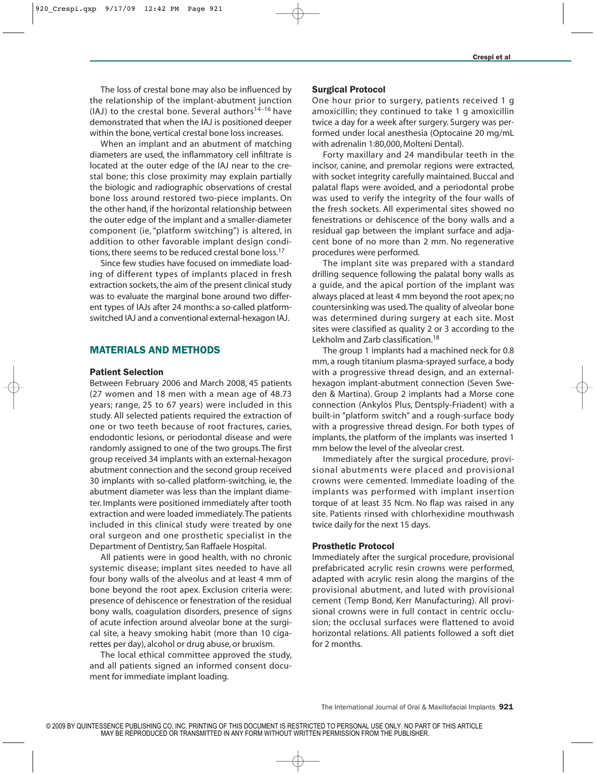The loss of crestal bone may also be influenced by the relationship of the implant-abutment junction (IAJ) to the crestal bone. Several authors<sup>14–16</sup> have demonstrated that when the IAJ is positioned deeper within the bone, vertical crestal bone loss increases.

When an implant and an abutment of matching diameters are used, the inflammatory cell infiltrate is located at the outer edge of the IAJ near to the crestal bone; this close proximity may explain partially the biologic and radiographic observations of crestal bone loss around restored two-piece implants. On the other hand, if the horizontal relationship between the outer edge of the implant and a smaller-diameter component (ie, "platform switching") is altered, in addition to other favorable implant design conditions, there seems to be reduced crestal bone loss.<sup>17</sup>

Since few studies have focused on immediate loading of different types of implants placed in fresh extraction sockets, the aim of the present clinical study was to evaluate the marginal bone around two different types of IAJs after 24 months: a so-called platformswitched IAJ and a conventional external-hexagon IAJ.

## MATERIALS AND METHODS

#### Patient Selection

Between February 2006 and March 2008, 45 patients (27 women and 18 men with a mean age of 48.73 years; range, 25 to 67 years) were included in this study. All selected patients required the extraction of one or two teeth because of root fractures, caries, endodontic lesions, or periodontal disease and were randomly assigned to one of the two groups. The first group received 34 implants with an external-hexagon abutment connection and the second group received 30 implants with so-called platform-switching, ie, the abutment diameter was less than the implant diameter. Implants were positioned immediately after tooth extraction and were loaded immediately.The patients included in this clinical study were treated by one oral surgeon and one prosthetic specialist in the Department of Dentistry, San Raffaele Hospital.

All patients were in good health, with no chronic systemic disease; implant sites needed to have all four bony walls of the alveolus and at least 4 mm of bone beyond the root apex. Exclusion criteria were: presence of dehiscence or fenestration of the residual bony walls, coagulation disorders, presence of signs of acute infection around alveolar bone at the surgical site, a heavy smoking habit (more than 10 cigarettes per day), alcohol or drug abuse, or bruxism.

The local ethical committee approved the study, and all patients signed an informed consent document for immediate implant loading.

#### Surgical Protocol

One hour prior to surgery, patients received 1 g amoxicillin; they continued to take 1 g amoxicillin twice a day for a week after surgery. Surgery was performed under local anesthesia (Optocaine 20 mg/mL with adrenalin 1:80,000, Molteni Dental).

Forty maxillary and 24 mandibular teeth in the incisor, canine, and premolar regions were extracted, with socket integrity carefully maintained. Buccal and palatal flaps were avoided, and a periodontal probe was used to verify the integrity of the four walls of the fresh sockets. All experimental sites showed no fenestrations or dehiscence of the bony walls and a residual gap between the implant surface and adjacent bone of no more than 2 mm. No regenerative procedures were performed.

The implant site was prepared with a standard drilling sequence following the palatal bony walls as a guide, and the apical portion of the implant was always placed at least 4 mm beyond the root apex; no countersinking was used. The quality of alveolar bone was determined during surgery at each site. Most sites were classified as quality 2 or 3 according to the Lekholm and Zarb classification.<sup>18</sup>

The group 1 implants had a machined neck for 0.8 mm, a rough titanium plasma-sprayed surface, a body with a progressive thread design, and an externalhexagon implant-abutment connection (Seven Sweden & Martina). Group 2 implants had a Morse cone connection (Ankylos Plus, Dentsply-Friadent) with a built-in "platform switch" and a rough-surface body with a progressive thread design. For both types of implants, the platform of the implants was inserted 1 mm below the level of the alveolar crest.

Immediately after the surgical procedure, provisional abutments were placed and provisional crowns were cemented. Immediate loading of the implants was performed with implant insertion torque of at least 35 Ncm. No flap was raised in any site. Patients rinsed with chlorhexidine mouthwash twice daily for the next 15 days.

### Prosthetic Protocol

Immediately after the surgical procedure, provisional prefabricated acrylic resin crowns were performed, adapted with acrylic resin along the margins of the provisional abutment, and luted with provisional cement (Temp Bond, Kerr Manufacturing). All provisional crowns were in full contact in centric occlusion; the occlusal surfaces were flattened to avoid horizontal relations. All patients followed a soft diet for 2 months.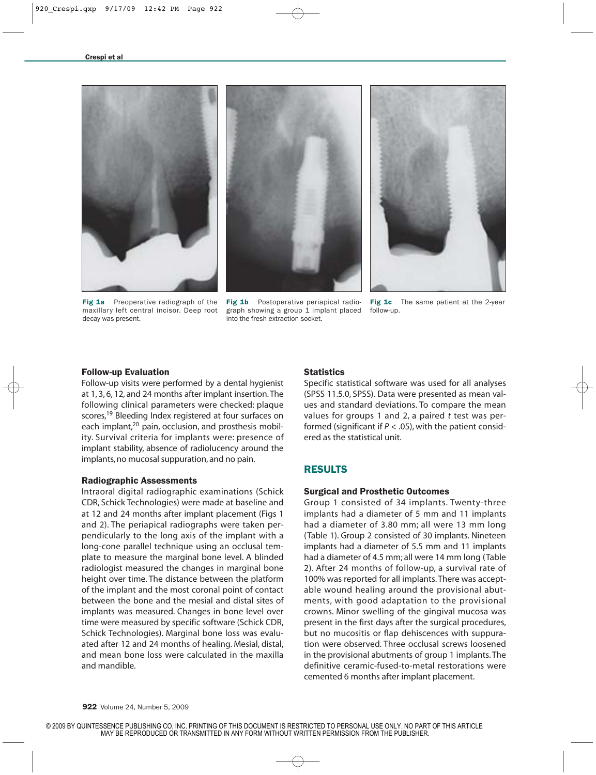

Fig 1a Preoperative radiograph of the maxillary left central incisor. Deep root decay was present.



Fig 1c The same patient at the 2-year follow-up.

#### Follow-up Evaluation

Follow-up visits were performed by a dental hygienist at 1, 3, 6, 12, and 24 months after implant insertion.The following clinical parameters were checked: plaque scores,<sup>19</sup> Bleeding Index registered at four surfaces on each implant,<sup>20</sup> pain, occlusion, and prosthesis mobility. Survival criteria for implants were: presence of implant stability, absence of radiolucency around the implants, no mucosal suppuration, and no pain.

#### Radiographic Assessments

Intraoral digital radiographic examinations (Schick CDR, Schick Technologies) were made at baseline and at 12 and 24 months after implant placement (Figs 1 and 2). The periapical radiographs were taken perpendicularly to the long axis of the implant with a long-cone parallel technique using an occlusal template to measure the marginal bone level. A blinded radiologist measured the changes in marginal bone height over time. The distance between the platform of the implant and the most coronal point of contact between the bone and the mesial and distal sites of implants was measured. Changes in bone level over time were measured by specific software (Schick CDR, Schick Technologies). Marginal bone loss was evaluated after 12 and 24 months of healing. Mesial, distal, and mean bone loss were calculated in the maxilla and mandible.

#### **Statistics**

Specific statistical software was used for all analyses (SPSS 11.5.0, SPSS). Data were presented as mean values and standard deviations. To compare the mean values for groups 1 and 2, a paired *t* test was performed (significant if  $P < .05$ ), with the patient considered as the statistical unit.

# RESULTS

#### Surgical and Prosthetic Outcomes

Group 1 consisted of 34 implants. Twenty-three implants had a diameter of 5 mm and 11 implants had a diameter of 3.80 mm; all were 13 mm long (Table 1). Group 2 consisted of 30 implants. Nineteen implants had a diameter of 5.5 mm and 11 implants had a diameter of 4.5 mm; all were 14 mm long (Table 2). After 24 months of follow-up, a survival rate of 100% was reported for all implants. There was acceptable wound healing around the provisional abutments, with good adaptation to the provisional crowns. Minor swelling of the gingival mucosa was present in the first days after the surgical procedures, but no mucositis or flap dehiscences with suppuration were observed. Three occlusal screws loosened in the provisional abutments of group 1 implants. The definitive ceramic-fused-to-metal restorations were cemented 6 months after implant placement.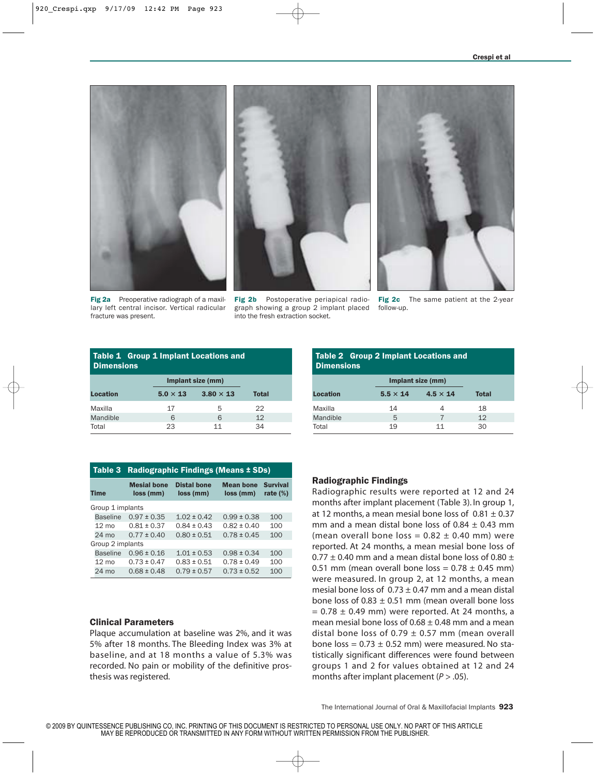

Fig 2a Preoperative radiograph of a maxillary left central incisor. Vertical radicular fracture was present.



Fig 2b Postoperative periapical radiograph showing a group 2 implant placed follow-up. into the fresh extraction socket.



Fig 2c The same patient at the 2-year

| <b>Table 1 Group 1 Implant Locations and</b><br><b>Dimensions</b> |                 |                   |              |  |  |  |  |  |
|-------------------------------------------------------------------|-----------------|-------------------|--------------|--|--|--|--|--|
|                                                                   |                 | Implant size (mm) |              |  |  |  |  |  |
| <b>Location</b>                                                   | $5.0 \times 13$ | $3.80 \times 13$  | <b>Total</b> |  |  |  |  |  |
| Maxilla                                                           | 17              | 5                 | 22           |  |  |  |  |  |
| Mandible                                                          | 6               | 6                 | 12           |  |  |  |  |  |
| Total                                                             | 23              | 11                | 34           |  |  |  |  |  |

| Table 3          | Radiographic Findings (Means ± SDs) |                                 |                               |                                |  |  |  |
|------------------|-------------------------------------|---------------------------------|-------------------------------|--------------------------------|--|--|--|
| <b>Time</b>      | <b>Mesial bone</b><br>loss (mm)     | <b>Distal bone</b><br>loss (mm) | <b>Mean bone</b><br>loss (mm) | <b>Survival</b><br>rate $(\%)$ |  |  |  |
| Group 1 implants |                                     |                                 |                               |                                |  |  |  |
| <b>Baseline</b>  | $0.97 \pm 0.35$                     | $1.02 \pm 0.42$                 | $0.99 \pm 0.38$               | 100                            |  |  |  |
| $12 \text{ mo}$  | $0.81 \pm 0.37$                     | $0.84 \pm 0.43$                 | $0.82 \pm 0.40$               | 100                            |  |  |  |
| $24 \text{ mo}$  | $0.77 \pm 0.40$                     | $0.80 \pm 0.51$                 | $0.78 \pm 0.45$               | 100                            |  |  |  |
| Group 2 implants |                                     |                                 |                               |                                |  |  |  |
| <b>Baseline</b>  | $0.96 \pm 0.16$                     | $1.01 \pm 0.53$                 | $0.98 \pm 0.34$               | 100                            |  |  |  |
| $12 \text{ mo}$  | $0.73 \pm 0.47$                     | $0.83 \pm 0.51$                 | $0.78 \pm 0.49$               | 100                            |  |  |  |
| $24 \text{ mo}$  | $0.68 \pm 0.48$                     | $0.79 \pm 0.57$                 | $0.73 \pm 0.52$               | 100                            |  |  |  |

#### Clinical Parameters

Plaque accumulation at baseline was 2%, and it was 5% after 18 months. The Bleeding Index was 3% at baseline, and at 18 months a value of 5.3% was recorded. No pain or mobility of the definitive prosthesis was registered.

| <b>Table 2 Group 2 Implant Locations and</b><br><b>Dimensions</b> |                   |                 |              |  |  |  |  |  |
|-------------------------------------------------------------------|-------------------|-----------------|--------------|--|--|--|--|--|
|                                                                   | Implant size (mm) |                 |              |  |  |  |  |  |
| <b>Location</b>                                                   | $5.5 \times 14$   | $4.5 \times 14$ | <b>Total</b> |  |  |  |  |  |
| Maxilla                                                           | 14                | 4               | 18           |  |  |  |  |  |
| Mandible                                                          | 5                 | 7               | 12           |  |  |  |  |  |
| Total                                                             | 19                | 11              | 30           |  |  |  |  |  |

#### Radiographic Findings

Radiographic results were reported at 12 and 24 months after implant placement (Table 3). In group 1, at 12 months, a mean mesial bone loss of  $0.81 \pm 0.37$ mm and a mean distal bone loss of  $0.84 \pm 0.43$  mm (mean overall bone loss =  $0.82 \pm 0.40$  mm) were reported. At 24 months, a mean mesial bone loss of 0.77  $\pm$  0.40 mm and a mean distal bone loss of 0.80  $\pm$ 0.51 mm (mean overall bone loss =  $0.78 \pm 0.45$  mm) were measured. In group 2, at 12 months, a mean mesial bone loss of  $0.73 \pm 0.47$  mm and a mean distal bone loss of  $0.83 \pm 0.51$  mm (mean overall bone loss  $= 0.78 \pm 0.49$  mm) were reported. At 24 months, a mean mesial bone loss of  $0.68 \pm 0.48$  mm and a mean distal bone loss of 0.79  $\pm$  0.57 mm (mean overall bone loss =  $0.73 \pm 0.52$  mm) were measured. No statistically significant differences were found between groups 1 and 2 for values obtained at 12 and 24 months after implant placement  $(P > .05)$ .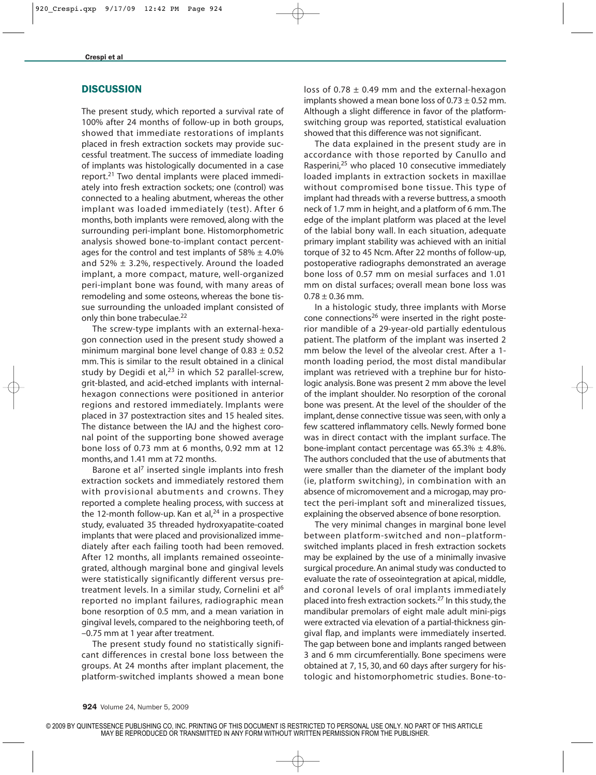## **DISCUSSION**

The present study, which reported a survival rate of 100% after 24 months of follow-up in both groups, showed that immediate restorations of implants placed in fresh extraction sockets may provide successful treatment. The success of immediate loading of implants was histologically documented in a case report.<sup>21</sup> Two dental implants were placed immediately into fresh extraction sockets; one (control) was connected to a healing abutment, whereas the other implant was loaded immediately (test). After 6 months, both implants were removed, along with the surrounding peri-implant bone. Histomorphometric analysis showed bone-to-implant contact percentages for the control and test implants of  $58\% \pm 4.0\%$ and 52%  $\pm$  3.2%, respectively. Around the loaded implant, a more compact, mature, well-organized peri-implant bone was found, with many areas of remodeling and some osteons, whereas the bone tissue surrounding the unloaded implant consisted of only thin bone trabeculae.<sup>22</sup>

The screw-type implants with an external-hexagon connection used in the present study showed a minimum marginal bone level change of  $0.83 \pm 0.52$ mm. This is similar to the result obtained in a clinical study by Degidi et al, $23$  in which 52 parallel-screw, grit-blasted, and acid-etched implants with internalhexagon connections were positioned in anterior regions and restored immediately. Implants were placed in 37 postextraction sites and 15 healed sites. The distance between the IAJ and the highest coronal point of the supporting bone showed average bone loss of 0.73 mm at 6 months, 0.92 mm at 12 months, and 1.41 mm at 72 months.

Barone et al<sup>7</sup> inserted single implants into fresh extraction sockets and immediately restored them with provisional abutments and crowns. They reported a complete healing process, with success at the 12-month follow-up. Kan et al, $24$  in a prospective study, evaluated 35 threaded hydroxyapatite-coated implants that were placed and provisionalized immediately after each failing tooth had been removed. After 12 months, all implants remained osseointegrated, although marginal bone and gingival levels were statistically significantly different versus pretreatment levels. In a similar study, Cornelini et al6 reported no implant failures, radiographic mean bone resorption of 0.5 mm, and a mean variation in gingival levels, compared to the neighboring teeth, of –0.75 mm at 1 year after treatment.

The present study found no statistically significant differences in crestal bone loss between the groups. At 24 months after implant placement, the platform-switched implants showed a mean bone loss of 0.78  $\pm$  0.49 mm and the external-hexagon implants showed a mean bone loss of  $0.73 \pm 0.52$  mm. Although a slight difference in favor of the platformswitching group was reported, statistical evaluation showed that this difference was not significant.

The data explained in the present study are in accordance with those reported by Canullo and Rasperini,<sup>25</sup> who placed 10 consecutive immediately loaded implants in extraction sockets in maxillae without compromised bone tissue. This type of implant had threads with a reverse buttress, a smooth neck of 1.7 mm in height, and a platform of 6 mm.The edge of the implant platform was placed at the level of the labial bony wall. In each situation, adequate primary implant stability was achieved with an initial torque of 32 to 45 Ncm. After 22 months of follow-up, postoperative radiographs demonstrated an average bone loss of 0.57 mm on mesial surfaces and 1.01 mm on distal surfaces; overall mean bone loss was  $0.78 \pm 0.36$  mm.

In a histologic study, three implants with Morse cone connections<sup>26</sup> were inserted in the right posterior mandible of a 29-year-old partially edentulous patient. The platform of the implant was inserted 2 mm below the level of the alveolar crest. After a 1 month loading period, the most distal mandibular implant was retrieved with a trephine bur for histologic analysis. Bone was present 2 mm above the level of the implant shoulder. No resorption of the coronal bone was present. At the level of the shoulder of the implant, dense connective tissue was seen, with only a few scattered inflammatory cells. Newly formed bone was in direct contact with the implant surface. The bone-implant contact percentage was  $65.3\% \pm 4.8\%$ . The authors concluded that the use of abutments that were smaller than the diameter of the implant body (ie, platform switching), in combination with an absence of micromovement and a microgap, may protect the peri-implant soft and mineralized tissues, explaining the observed absence of bone resorption.

The very minimal changes in marginal bone level between platform-switched and non–platformswitched implants placed in fresh extraction sockets may be explained by the use of a minimally invasive surgical procedure. An animal study was conducted to evaluate the rate of osseointegration at apical, middle, and coronal levels of oral implants immediately placed into fresh extraction sockets.27 In this study, the mandibular premolars of eight male adult mini-pigs were extracted via elevation of a partial-thickness gingival flap, and implants were immediately inserted. The gap between bone and implants ranged between 3 and 6 mm circumferentially. Bone specimens were obtained at 7, 15, 30, and 60 days after surgery for histologic and histomorphometric studies. Bone-to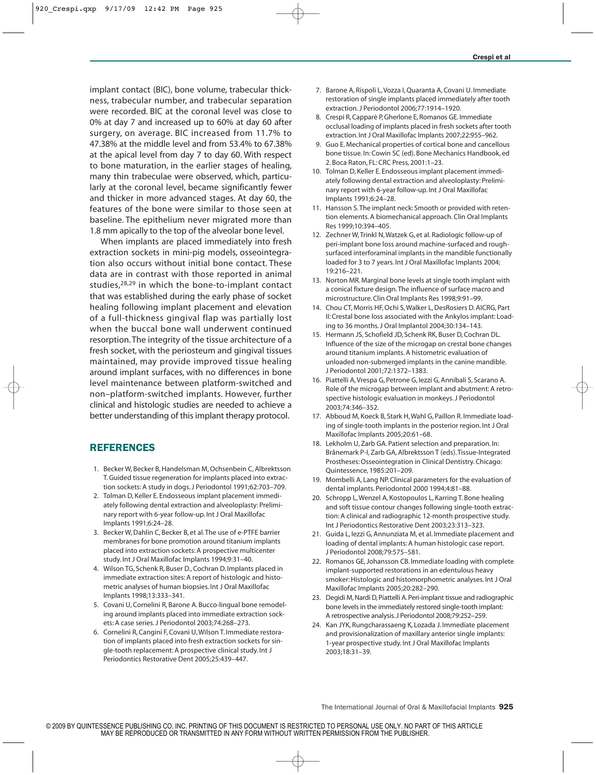implant contact (BIC), bone volume, trabecular thickness, trabecular number, and trabecular separation were recorded. BIC at the coronal level was close to 0% at day 7 and increased up to 60% at day 60 after surgery, on average. BIC increased from 11.7% to 47.38% at the middle level and from 53.4% to 67.38% at the apical level from day 7 to day 60. With respect to bone maturation, in the earlier stages of healing, many thin trabeculae were observed, which, particularly at the coronal level, became significantly fewer and thicker in more advanced stages. At day 60, the features of the bone were similar to those seen at baseline. The epithelium never migrated more than 1.8 mm apically to the top of the alveolar bone level.

When implants are placed immediately into fresh extraction sockets in mini-pig models, osseointegration also occurs without initial bone contact. These data are in contrast with those reported in animal studies,<sup>28,29</sup> in which the bone-to-implant contact that was established during the early phase of socket healing following implant placement and elevation of a full-thickness gingival flap was partially lost when the buccal bone wall underwent continued resorption. The integrity of the tissue architecture of a fresh socket, with the periosteum and gingival tissues maintained, may provide improved tissue healing around implant surfaces, with no differences in bone level maintenance between platform-switched and non–platform-switched implants. However, further clinical and histologic studies are needed to achieve a better understanding of this implant therapy protocol.

# REFERENCES

- 1. Becker W, Becker B, Handelsman M, Ochsenbein C, Albrektsson T. Guided tissue regeneration for implants placed into extraction sockets: A study in dogs. J Periodontol 1991;62:703–709.
- 2. Tolman D, Keller E. Endosseous implant placement immediately following dental extraction and alveoloplasty: Preliminary report with 6-year follow-up. Int J Oral Maxillofac Implants 1991;6:24–28.
- 3. Becker W, Dahlin C, Becker B, et al.The use of e-PTFE barrier membranes for bone promotion around titanium implants placed into extraction sockets: A prospective multicenter study. Int J Oral Maxillofac Implants 1994;9:31–40.
- 4. Wilson TG, Schenk R, Buser D., Cochran D. Implants placed in immediate extraction sites: A report of histologic and histometric analyses of human biopsies. Int J Oral Maxillofac Implants 1998;13:333–341.
- 5. Covani U, Cornelini R, Barone A. Bucco-lingual bone remodeling around implants placed into immediate extraction sockets: A case series. J Periodontol 2003;74:268–273.
- 6. Cornelini R, Cangini F, Covani U, Wilson T. Immediate restoration of implants placed into fresh extraction sockets for single-tooth replacement: A prospective clinical study. Int J Periodontics Restorative Dent 2005;25:439–447.
- 7. Barone A, Rispoli L, Vozza I, Quaranta A, Covani U. Immediate restoration of single implants placed immediately after tooth extraction. J Periodontol 2006;77:1914–1920.
- 8. Crespi R, Capparè P, Gherlone E, Romanos GE. Immediate occlusal loading of implants placed in fresh sockets after tooth extraction. Int J Oral Maxillofac Implants 2007;22:955–962.
- 9. Guo E. Mechanical properties of cortical bone and cancellous bone tissue. In: Cowin SC (ed). Bone Mechanics Handbook, ed 2. Boca Raton, FL: CRC Press, 2001:1–23.
- 10. Tolman D, Keller E. Endosseous implant placement immediately following dental extraction and alveoloplasty: Preliminary report with 6-year follow-up. Int J Oral Maxillofac Implants 1991;6:24–28.
- 11. Hansson S.The implant neck: Smooth or provided with retention elements. A biomechanical approach. Clin Oral Implants Res 1999;10:394–405.
- 12. Zechner W, Trinkl N, Watzek G, et al. Radiologic follow-up of peri-implant bone loss around machine-surfaced and roughsurfaced interforaminal implants in the mandible functionally loaded for 3 to 7 years. Int J Oral Maxillofac Implants 2004; 19:216–221.
- 13. Norton MR. Marginal bone levels at single tooth implant with a conical fixture design.The influence of surface macro and microstructure. Clin Oral Implants Res 1998;9:91–99.
- 14. Chou CT, Morris HF, Ochi S, Walker L, DesRosiers D. AICRG, Part II: Crestal bone loss associated with the Ankylos implant: Loading to 36 months. J Oral Implantol 2004;30:134–143.
- 15. Hermann JS, Schofield JD, Schenk RK, Buser D, Cochran DL. Influence of the size of the microgap on crestal bone changes around titanium implants. A histometric evaluation of unloaded non-submerged implants in the canine mandible. J Periodontol 2001;72:1372–1383.
- 16. Piattelli A, Vrespa G, Petrone G, Iezzi G, Annibali S, Scarano A. Role of the microgap between implant and abutment: A retrospective histologic evaluation in monkeys. J Periodontol 2003;74:346–352.
- 17. Abboud M, Koeck B, Stark H, Wahl G, Paillon R. Immediate loading of single-tooth implants in the posterior region. Int J Oral Maxillofac Implants 2005;20:61–68.
- 18. Lekholm U, Zarb GA. Patient selection and preparation. In: Brånemark P-I, Zarb GA, Albrektsson T (eds).Tissue-Integrated Prostheses: Osseointegration in Clinical Dentistry. Chicago: Quintessence, 1985:201–209.
- 19. Mombelli A, Lang NP. Clinical parameters for the evaluation of dental implants. Periodontol 2000 1994;4:81–88.
- 20. Schropp L, Wenzel A, Kostopoulos L, Karring T. Bone healing and soft tissue contour changes following single-tooth extraction: A clinical and radiographic 12-month prospective study. Int J Periodontics Restorative Dent 2003;23:313–323.
- 21. Guida L, Iezzi G, Annunziata M, et al. Immediate placement and loading of dental implants: A human histologic case report. J Periodontol 2008;79:575–581.
- 22. Romanos GE, Johansson CB. Immediate loading with complete implant-supported restorations in an edentulous heavy smoker: Histologic and histomorphometric analyses. Int J Oral Maxillofac Implants 2005;20:282–290.
- 23. Degidi M, Nardi D, Piattelli A. Peri-implant tissue and radiographic bone levels in the immediately restored single-tooth implant: A retrospective analysis. J Periodontol 2008;79:252–259.
- 24. Kan JYK, Rungcharassaeng K, Lozada J. Immediate placement and provisionalization of maxillary anterior single implants: 1-year prospective study. Int J Oral Maxillofac Implants 2003;18:31–39.